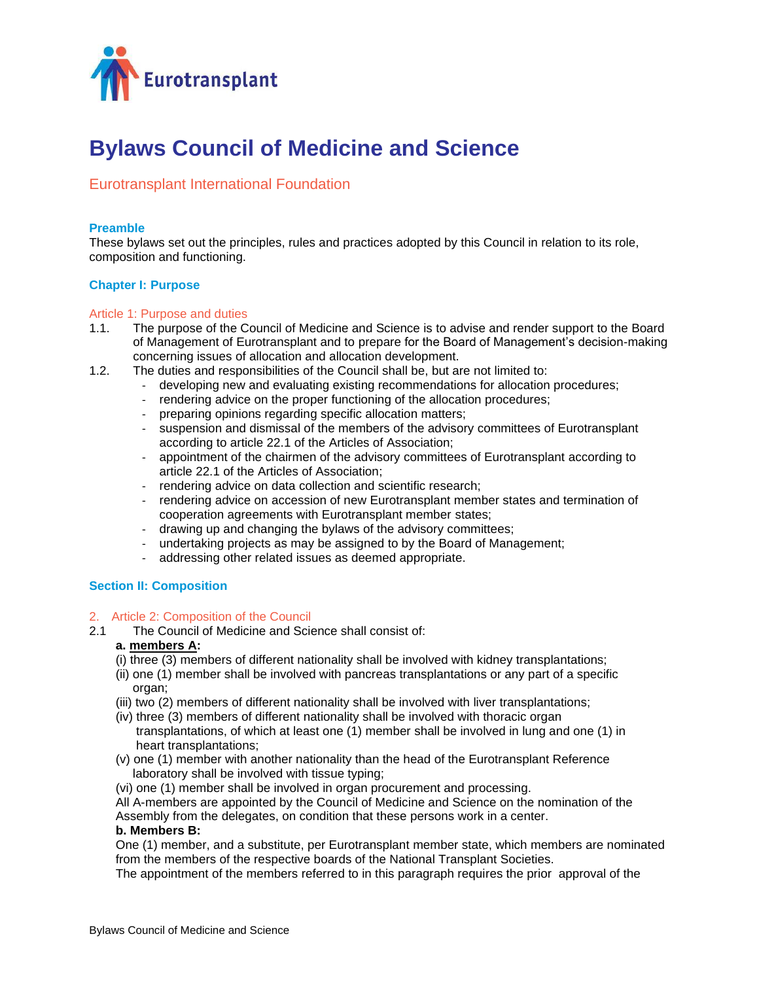

# **Bylaws Council of Medicine and Science**

# Eurotransplant International Foundation

# **Preamble**

These bylaws set out the principles, rules and practices adopted by this Council in relation to its role, composition and functioning.

# **Chapter I: Purpose**

## Article 1: Purpose and duties

- 1.1. The purpose of the Council of Medicine and Science is to advise and render support to the Board of Management of Eurotransplant and to prepare for the Board of Management's decision-making concerning issues of allocation and allocation development.
- 1.2. The duties and responsibilities of the Council shall be, but are not limited to:
	- developing new and evaluating existing recommendations for allocation procedures;
	- rendering advice on the proper functioning of the allocation procedures;
	- preparing opinions regarding specific allocation matters;
	- suspension and dismissal of the members of the advisory committees of Eurotransplant according to article 22.1 of the Articles of Association;
	- appointment of the chairmen of the advisory committees of Eurotransplant according to article 22.1 of the Articles of Association;
	- rendering advice on data collection and scientific research;
	- rendering advice on accession of new Eurotransplant member states and termination of cooperation agreements with Eurotransplant member states;
	- drawing up and changing the bylaws of the advisory committees;
	- undertaking projects as may be assigned to by the Board of Management;
	- addressing other related issues as deemed appropriate.

## **Section II: Composition**

## 2. Article 2: Composition of the Council

2.1 The Council of Medicine and Science shall consist of:

## **a. members A:**

- (i) three (3) members of different nationality shall be involved with kidney transplantations;
- (ii) one (1) member shall be involved with pancreas transplantations or any part of a specific organ;
- (iii) two (2) members of different nationality shall be involved with liver transplantations;
- (iv) three (3) members of different nationality shall be involved with thoracic organ transplantations, of which at least one (1) member shall be involved in lung and one (1) in heart transplantations;
- (v) one (1) member with another nationality than the head of the Eurotransplant Reference laboratory shall be involved with tissue typing;
- (vi) one (1) member shall be involved in organ procurement and processing.
- All A-members are appointed by the Council of Medicine and Science on the nomination of the

Assembly from the delegates, on condition that these persons work in a center.

# **b. Members B:**

One (1) member, and a substitute, per Eurotransplant member state, which members are nominated from the members of the respective boards of the National Transplant Societies.

The appointment of the members referred to in this paragraph requires the prior approval of the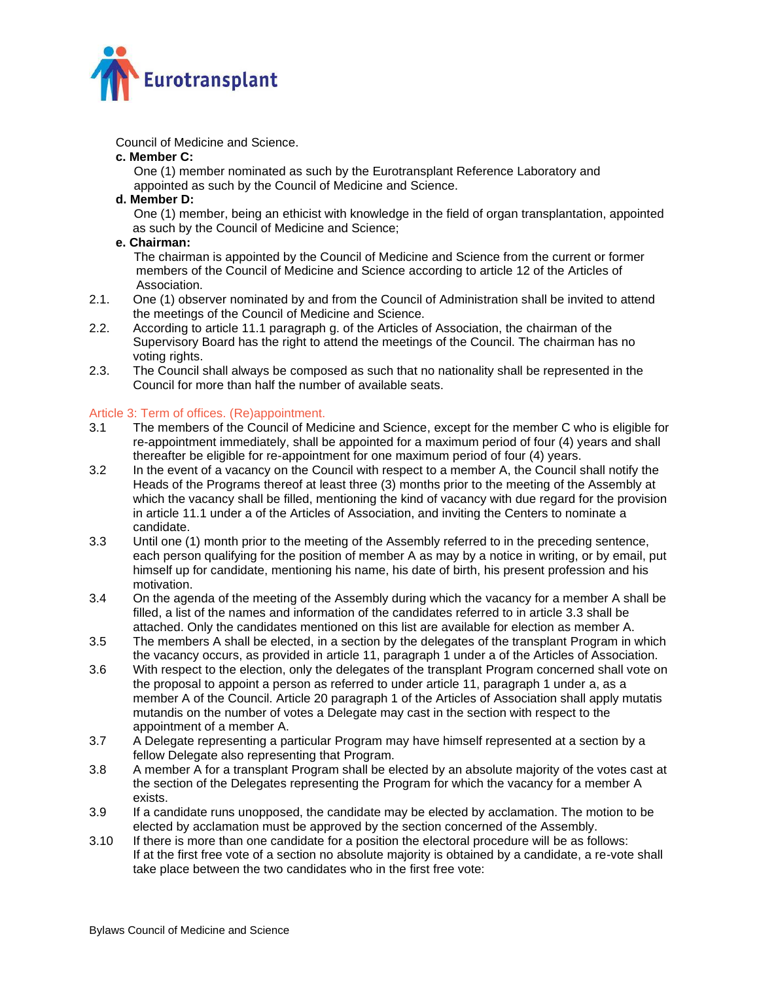

Council of Medicine and Science.

#### **c. Member C:**

One (1) member nominated as such by the Eurotransplant Reference Laboratory and appointed as such by the Council of Medicine and Science.

## **d. Member D:**

One (1) member, being an ethicist with knowledge in the field of organ transplantation, appointed as such by the Council of Medicine and Science;

## **e. Chairman:**

The chairman is appointed by the Council of Medicine and Science from the current or former members of the Council of Medicine and Science according to article 12 of the Articles of Association.

- 2.1. One (1) observer nominated by and from the Council of Administration shall be invited to attend the meetings of the Council of Medicine and Science.
- 2.2. According to article 11.1 paragraph g. of the Articles of Association, the chairman of the Supervisory Board has the right to attend the meetings of the Council. The chairman has no voting rights.
- 2.3. The Council shall always be composed as such that no nationality shall be represented in the Council for more than half the number of available seats.

## Article 3: Term of offices. (Re)appointment.

- 3.1 The members of the Council of Medicine and Science, except for the member C who is eligible for re-appointment immediately, shall be appointed for a maximum period of four (4) years and shall thereafter be eligible for re-appointment for one maximum period of four (4) years.
- 3.2 In the event of a vacancy on the Council with respect to a member A, the Council shall notify the Heads of the Programs thereof at least three (3) months prior to the meeting of the Assembly at which the vacancy shall be filled, mentioning the kind of vacancy with due regard for the provision in article 11.1 under a of the Articles of Association, and inviting the Centers to nominate a candidate.
- 3.3 Until one (1) month prior to the meeting of the Assembly referred to in the preceding sentence, each person qualifying for the position of member A as may by a notice in writing, or by email, put himself up for candidate, mentioning his name, his date of birth, his present profession and his motivation.
- 3.4 On the agenda of the meeting of the Assembly during which the vacancy for a member A shall be filled, a list of the names and information of the candidates referred to in article 3.3 shall be attached. Only the candidates mentioned on this list are available for election as member A.
- 3.5 The members A shall be elected, in a section by the delegates of the transplant Program in which the vacancy occurs, as provided in article 11, paragraph 1 under a of the Articles of Association.
- 3.6 With respect to the election, only the delegates of the transplant Program concerned shall vote on the proposal to appoint a person as referred to under article 11, paragraph 1 under a, as a member A of the Council. Article 20 paragraph 1 of the Articles of Association shall apply mutatis mutandis on the number of votes a Delegate may cast in the section with respect to the appointment of a member A.
- 3.7 A Delegate representing a particular Program may have himself represented at a section by a fellow Delegate also representing that Program.
- 3.8 A member A for a transplant Program shall be elected by an absolute majority of the votes cast at the section of the Delegates representing the Program for which the vacancy for a member A exists.
- 3.9 If a candidate runs unopposed, the candidate may be elected by acclamation. The motion to be elected by acclamation must be approved by the section concerned of the Assembly.
- 3.10 If there is more than one candidate for a position the electoral procedure will be as follows: If at the first free vote of a section no absolute majority is obtained by a candidate, a re-vote shall take place between the two candidates who in the first free vote: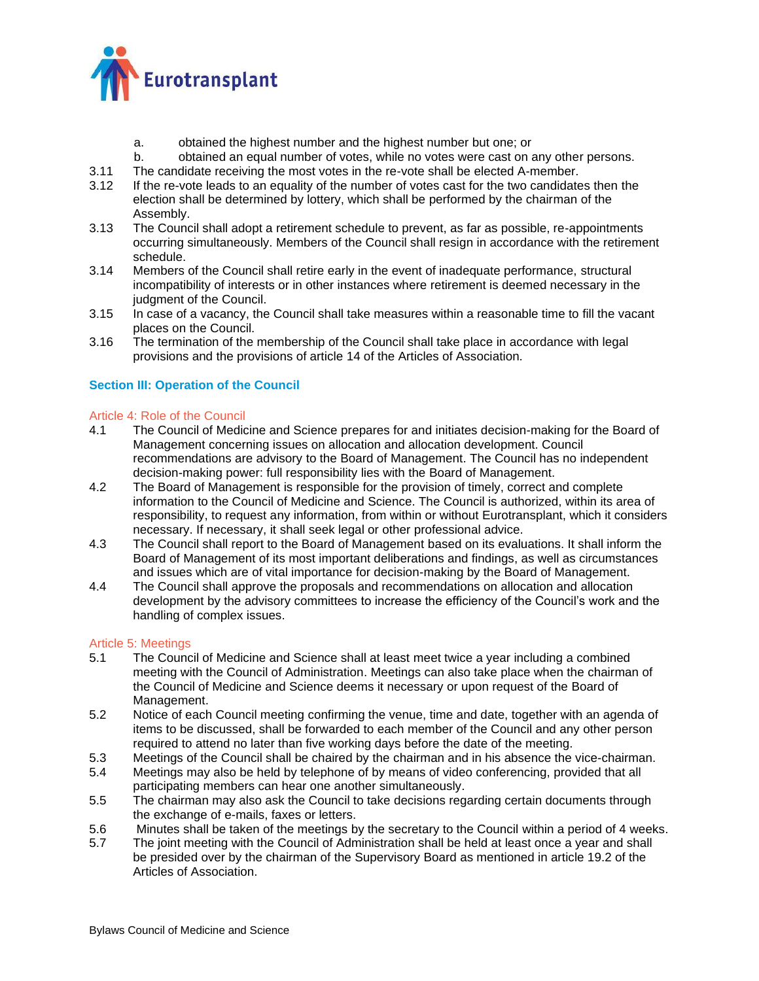

- a. obtained the highest number and the highest number but one; or
- b. obtained an equal number of votes, while no votes were cast on any other persons.
- 3.11 The candidate receiving the most votes in the re-vote shall be elected A-member.<br>3.12 If the re-vote leads to an equality of the number of votes cast for the two candidate
- If the re-vote leads to an equality of the number of votes cast for the two candidates then the election shall be determined by lottery, which shall be performed by the chairman of the Assembly.
- 3.13 The Council shall adopt a retirement schedule to prevent, as far as possible, re-appointments occurring simultaneously. Members of the Council shall resign in accordance with the retirement schedule.
- 3.14 Members of the Council shall retire early in the event of inadequate performance, structural incompatibility of interests or in other instances where retirement is deemed necessary in the judgment of the Council.
- 3.15 In case of a vacancy, the Council shall take measures within a reasonable time to fill the vacant places on the Council.
- 3.16 The termination of the membership of the Council shall take place in accordance with legal provisions and the provisions of article 14 of the Articles of Association.

# **Section III: Operation of the Council**

# Article 4: Role of the Council

- 4.1 The Council of Medicine and Science prepares for and initiates decision-making for the Board of Management concerning issues on allocation and allocation development. Council recommendations are advisory to the Board of Management. The Council has no independent decision-making power: full responsibility lies with the Board of Management.
- 4.2 The Board of Management is responsible for the provision of timely, correct and complete information to the Council of Medicine and Science. The Council is authorized, within its area of responsibility, to request any information, from within or without Eurotransplant, which it considers necessary. If necessary, it shall seek legal or other professional advice.
- 4.3 The Council shall report to the Board of Management based on its evaluations. It shall inform the Board of Management of its most important deliberations and findings, as well as circumstances and issues which are of vital importance for decision-making by the Board of Management.
- 4.4 The Council shall approve the proposals and recommendations on allocation and allocation development by the advisory committees to increase the efficiency of the Council's work and the handling of complex issues.

## Article 5: Meetings

- 5.1 The Council of Medicine and Science shall at least meet twice a year including a combined meeting with the Council of Administration. Meetings can also take place when the chairman of the Council of Medicine and Science deems it necessary or upon request of the Board of Management.
- 5.2 Notice of each Council meeting confirming the venue, time and date, together with an agenda of items to be discussed, shall be forwarded to each member of the Council and any other person required to attend no later than five working days before the date of the meeting.
- 5.3 Meetings of the Council shall be chaired by the chairman and in his absence the vice-chairman.
- 5.4 Meetings may also be held by telephone of by means of video conferencing, provided that all participating members can hear one another simultaneously.
- 5.5 The chairman may also ask the Council to take decisions regarding certain documents through the exchange of e-mails, faxes or letters.
- 5.6 Minutes shall be taken of the meetings by the secretary to the Council within a period of 4 weeks.
- 5.7 The joint meeting with the Council of Administration shall be held at least once a year and shall be presided over by the chairman of the Supervisory Board as mentioned in article 19.2 of the Articles of Association.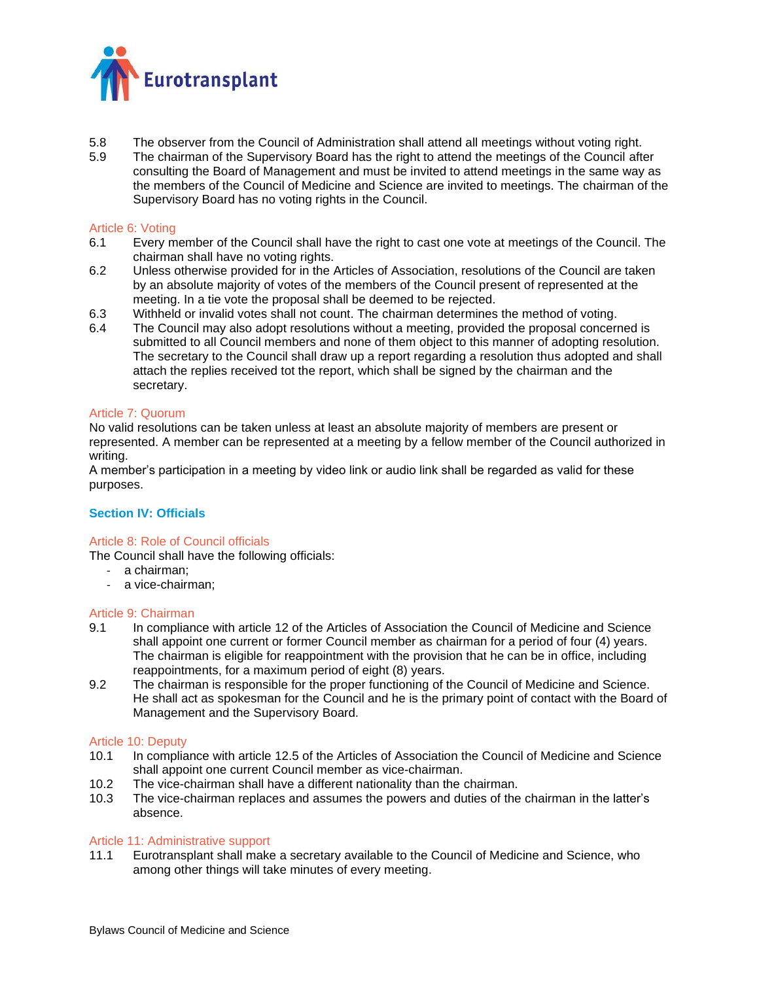

- 5.8 The observer from the Council of Administration shall attend all meetings without voting right.
- 5.9 The chairman of the Supervisory Board has the right to attend the meetings of the Council after consulting the Board of Management and must be invited to attend meetings in the same way as the members of the Council of Medicine and Science are invited to meetings. The chairman of the Supervisory Board has no voting rights in the Council.

## Article 6: Voting

- 6.1 Every member of the Council shall have the right to cast one vote at meetings of the Council. The chairman shall have no voting rights.
- 6.2 Unless otherwise provided for in the Articles of Association, resolutions of the Council are taken by an absolute majority of votes of the members of the Council present of represented at the meeting. In a tie vote the proposal shall be deemed to be rejected.
- 6.3 Withheld or invalid votes shall not count. The chairman determines the method of voting.
- 6.4 The Council may also adopt resolutions without a meeting, provided the proposal concerned is submitted to all Council members and none of them object to this manner of adopting resolution. The secretary to the Council shall draw up a report regarding a resolution thus adopted and shall attach the replies received tot the report, which shall be signed by the chairman and the secretary.

#### Article 7: Quorum

No valid resolutions can be taken unless at least an absolute majority of members are present or represented. A member can be represented at a meeting by a fellow member of the Council authorized in writing.

A member's participation in a meeting by video link or audio link shall be regarded as valid for these purposes.

## **Section IV: Officials**

## Article 8: Role of Council officials

The Council shall have the following officials:

- a chairman;
- a vice-chairman;

## Article 9: Chairman

- 9.1 In compliance with article 12 of the Articles of Association the Council of Medicine and Science shall appoint one current or former Council member as chairman for a period of four (4) years. The chairman is eligible for reappointment with the provision that he can be in office, including reappointments, for a maximum period of eight (8) years.
- 9.2 The chairman is responsible for the proper functioning of the Council of Medicine and Science. He shall act as spokesman for the Council and he is the primary point of contact with the Board of Management and the Supervisory Board.

#### Article 10: Deputy

- 10.1 In compliance with article 12.5 of the Articles of Association the Council of Medicine and Science shall appoint one current Council member as vice-chairman.
- 10.2 The vice-chairman shall have a different nationality than the chairman.
- 10.3 The vice-chairman replaces and assumes the powers and duties of the chairman in the latter's absence.

## Article 11: Administrative support

11.1 Eurotransplant shall make a secretary available to the Council of Medicine and Science, who among other things will take minutes of every meeting.